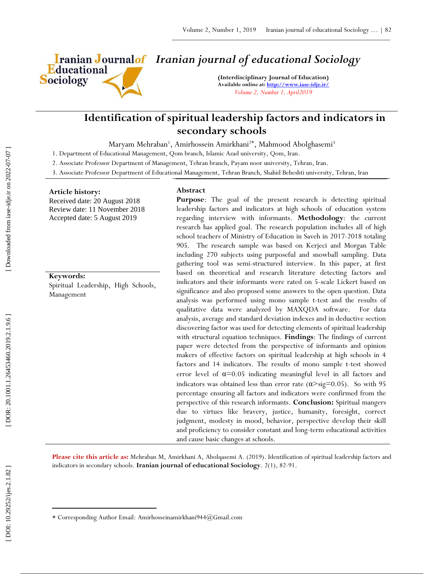

# *Iranian journal of educational Sociology*

**(Interdisciplinary Journal of Education) Available online at[: http://www.iase](http://www.iase-idje.ir/) -idje.ir/** *Volume 2, Number 1, April2019*

# **Identification of spiritual leadership factors and indicators in secondary schools**

Maryam Mehraban<sup>1</sup>, Amirhossein Amirkhani<sup>2\*</sup>, Mahmood Abolghasemi<sup>3</sup>

1. Department of Educational Management, Qom branch, Islamic Azad university, Qom, Iran.

2. Associate Professor Department of Management, Tehran branch, Payam noor university, Tehran, Iran.

3. Associate Professor Department of Educational Management, Tehran Branch, Shahid Beheshti university, Tehran, Iran

#### **Article history:**

Received date: 20 August 201 8 Review date: 11 November 201 8 Accepted date: 5 August 2019

## **Keywords:**

Spiritual Leadership, High Schools, Management

#### **Abstract**

**Purpose**: The goal of the present research is detecting spiritual leadership factors and indicators at high schools of education system regarding interview with informants. **Methodology**: the current research has applied goal. The research population includes all of high school teachers of Ministry of Education in Saveh in 2017-2018 totaling 905. The research sample was based on Kerjeci and Morgan Table including 270 subjects using purposeful and snowball sampling. Data gathering tool was semi -structured interview. In this paper, at first based on theoretical and research literature detecting factors and indicators and their informants were rated on 5 -scale Lickert based on significance and also proposed some answers to the open question. Data analysis was performed using mono sample t -test and the results of qualitative data were analyzed by MAXQDA software. For data analysis, average and standard deviation indexes and in deductive section discovering factor was used for detecting elements of spiritual leadership with structural equation techniques. **Findings**: The findings of current paper were detected from the perspective of informants and opinion makers of effective factors on spiritual leadership at high schools in 4 factors and 14 indicators. The results of mono sample t -test showed error level of  $\alpha = 0.05$  indicating meaningful level in all factors and indicators was obtained less than error rate  $(\alpha > sig=0.05)$ . So with 95 percentage ensuring all factors and indicators were confirmed from the perspective of this research informants. **Conclusion :** Spiritual mangers due to virtues like bravery, justice, humanity, foresight, correct judgment, modesty in mood, behavior, perspective develop their skill and proficiency to consider constant and long -term educational activities and cause basic changes at schools.

Please cite this article as: Mehraban M, Amirkhani A, Abolqasemi A. (2019). Identification of spiritual leadership factors and indicators in secondary schools. **Iranian journal of educational Sociology**. 2 ( 1), 82 -91.

 $\overline{\phantom{a}}$ 

Corresponding Author Email: Amirhosseinamirkhani944@Gmail.com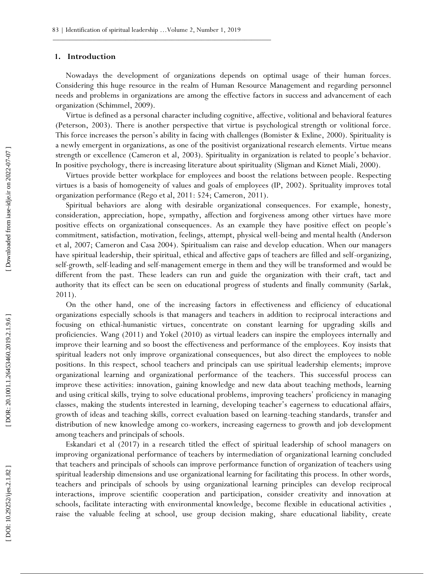#### **1. Introduction**

Nowadays the development of organizations depends on optimal usage of their human forces. Considering this huge resource in the realm of Human Resource Management and regarding personnel needs and problems in organizations are among the effective factors in success and advancement of each organization (Schimmel, 2009).

Virtue is defined as a personal character including cognitive, affective, volitional and behavioral features (Peterson, 2003). There is another perspective that virtue is psychological strength or volitional force. This force increases the person's ability in facing with challenges (Bomister & Exline, 2000). Spirituality is a newly emergent in organizations, as one of the positivist organizational research elements. Virtue means strength or excellence (Cameron et al, 2003). Spirituality in organization is related to people's behavior. In positive psychology, there is increasing literature about spirituality (Sligman and Kiznet Miali, 2000).

Virtues provide better workplace for employees and boost the relations between people. Respecting virtues is a basis of homogeneity of values and goals of employees (IP, 2002). Sprituality improves total organization performance (Rego et al, 2011: 524; Cameron, 2011).

Spiritual behaviors are along with desirable organizational consequences. For example, honesty, consideration, appreciation, hope, sympathy, affection and forgiveness among other virtues have more positive effects on organizational consequences. As an example they have positive effect on people's commitment, satisfaction, motivation, feelings, attempt, physical well -being and mental health (Anderson et al, 2007; Cameron and Casa 2004). Spiritualism can raise and develop education. When our managers have spiritual leadership, their spiritual, ethical and affective gaps of teachers are filled and self -organizing, self-growth, self-leading and self-management emerge in them and they will be transformed and would be different from the past. These leaders can run and guide the organization with their craft, tact and authority that its effect can be seen on educational progress of students and finally community (Sarlak, 2011).

On the other hand, one of the increasing factors in effectiveness and efficiency of educational organizations especially schools is that managers and teachers in addition to reciprocal interactions and focusing on ethical -humanistic virtues, concentrate on constant learning for upgrading skills and proficiencies. Wang (2011) and Yokel (2010) as virtual leaders can inspire the employees internally and improve their learning and so boost the effectiveness and performance of the employees. Koy insists that spiritual leaders not only improve organizational consequences, but also direct the employees to noble positions. In this respect, school teachers and principals can use spiritual leadership elements; improve organizational learning and organizational performance of the teachers. This successful process can improve these activities: innovation, gaining knowledge and new data about teaching methods, learning and using critical skills, trying to solve educational problems, improving teachers' proficiency in managing classes, making the students interested in learning, developing teacher's eagerness to educational affairs, growth of ideas and teaching skills, correct evaluation based on learning -teaching standards, transfer and distribution of new knowledge among co -workers, increasing eagerness to growth and job development among teachers and principals of schools.

Eskandari et al (2017) in a research titled the effect of spiritual leadership of school managers on improving organizational performance of teachers by intermediation of organizational learning concluded that teachers and principals of schools can improve performance function of organization of teachers using spiritual leadership dimensions and use organizational learning for facilitating this process. In other words, teachers and principals of schools by using organizational learning principles can develop reciprocal interactions, improve scientific cooperation and participation, consider creativity and innovation at schools, facilitate interacting with environmental knowledge, become flexible in educational activities , raise the valuable feeling at school, use group decision making, share educational liability, create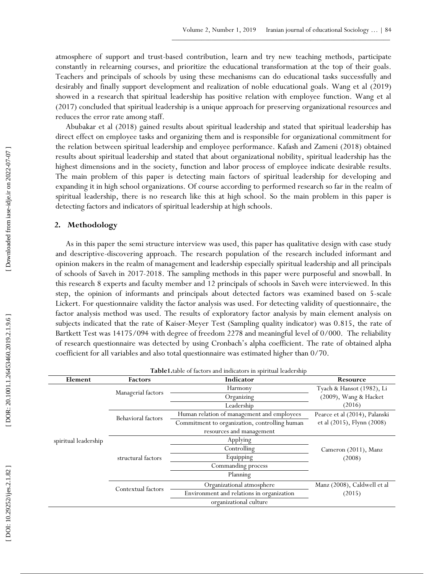atmosphere of support and trust -based contribution, learn and try new teaching methods, participate constantly in relearning courses, and prioritize the educational transformation at the top of their goals. Teachers and principals of schools by using these mechanisms can do educational tasks successfully and desirably and finally support development and realization of noble educational goals. Wang et al (2019) showed in a research that spiritual leadership has positive relation with employee function. Wang et al (2017) concluded that spiritual leadership is a unique approach for preserving organizational resources and reduces the error rate among staff.

Abubakar et al (2018) gained results about spiritual leadership and stated that spiritual leadership has direct effect on employee tasks and organizing them and is responsible for organizational commitment for the relation between spiritual leadership and employee performance. Kafash and Zameni (2018) obtained results about spiritual leadership and stated that about organizational nobility, spiritual leadership has the highest dimensions and in the society, function and labor process of employee indicate desirable results. The main problem of this paper is detecting main factors of spiritual leadership for developing and expanding it in high school organizations. Of course according to performed research so far in the realm of spiritual leadership, there is no research like this at high school. So the main problem in this paper is detecting factors and indicators of spiritual leadership at high schools.

## **2. Methodology**

As in this paper the semi structure interview was used, this paper has qualitative design with case study and descriptive -discovering approach. The research population of the research included informant and opinion makers in the realm of management and leadership especially spiritual leadership and all principals of schools of Saveh in 2017 -2018. The sampling methods in this paper were purposeful and snowball. In this research 8 experts and faculty member and 12 principals of schools in Saveh were interviewed. In this step, the opinion of informants and principals about detected factors was examined based on 5 -scale Lickert. For questionnaire validity the factor analysis was used. For detecting validity of questionnaire, the factor analysis method was used. The results of exploratory factor analysis by main element analysis on subjects indicated that the rate of Kaiser -Meyer Test (Sampling quality indicator) was 0.815, the rate of Bartkett Test was 14175/094 with degree of freedom 2278 and meaningful level of 0/000. The reliability of research questionnaire was detected by using Cronbach's alpha coefficient. The rate of obtained alpha coefficient for all variables and also total questionnaire was estimated higher than 0/70.

| <b>Table1.</b> table of factors and indicators in spiritual leadership |                    |                                               |                               |  |  |  |
|------------------------------------------------------------------------|--------------------|-----------------------------------------------|-------------------------------|--|--|--|
| Element                                                                | <b>Factors</b>     | Indicator                                     | Resource                      |  |  |  |
|                                                                        |                    | Harmony                                       | Tyach & Hansot (1982), Li     |  |  |  |
|                                                                        | Managerial factors | Organizing                                    | (2009), Wang & Hacket         |  |  |  |
|                                                                        |                    | Leadership                                    | (2016)                        |  |  |  |
|                                                                        | Behavioral factors | Human relation of management and employees    | Pearce et al (2014), Palanski |  |  |  |
|                                                                        |                    | Commitment to organization, controlling human | et al (2015), Flynn (2008)    |  |  |  |
|                                                                        |                    | resources and management                      |                               |  |  |  |
| spiritual leadership                                                   |                    | Applying                                      |                               |  |  |  |
|                                                                        |                    | Controlling                                   | Cameron (2011), Manz          |  |  |  |
|                                                                        | structural factors | Equipping                                     | (2008)                        |  |  |  |
|                                                                        |                    | Commanding process                            |                               |  |  |  |
|                                                                        |                    | Planning                                      |                               |  |  |  |
|                                                                        |                    | Organizational atmosphere                     | Manz (2008), Caldwell et al   |  |  |  |
|                                                                        | Contextual factors | Environment and relations in organization     | (2015)                        |  |  |  |
|                                                                        |                    | organizational culture                        |                               |  |  |  |
|                                                                        |                    |                                               |                               |  |  |  |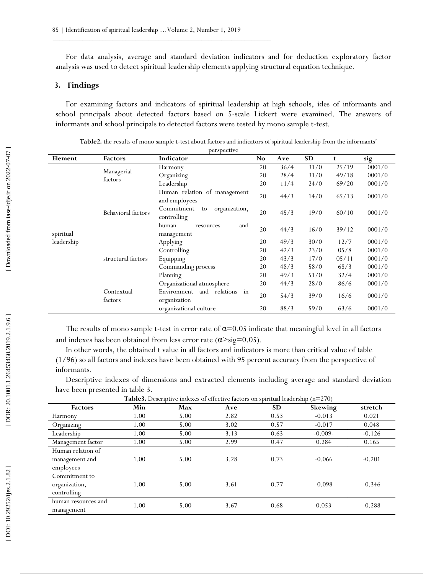For data analysis, average and standard deviation indicators and for deduction exploratory factor analysis was used to detect spiritual leadership elements applying structural equation technique.

# **3. Findings**

For examining factors and indicators of spiritual leadership at high schools, ides of informants and school principals about detected factors based on 5 -scale Lickert were examined. The answers of informants and school principals to detected factors were tested by mono sample t -test.

| perspective |                       |                                                    |    |      |      |       |        |
|-------------|-----------------------|----------------------------------------------------|----|------|------|-------|--------|
| Element     | <b>Factors</b>        | Indicator                                          | No | Ave  | SD   | t     | sig    |
|             |                       | Harmony                                            | 20 | 36/4 | 31/0 | 25/19 | 0001/0 |
|             | Managerial            | Organizing                                         | 20 | 28/4 | 31/0 | 49/18 | 0001/0 |
|             | factors               | Leadership                                         | 20 | 11/4 | 24/0 | 69/20 | 0001/0 |
|             |                       | Human relation of management<br>and employees      | 20 | 44/3 | 14/0 | 65/13 | 0001/0 |
|             | Behavioral factors    | Commitment<br>organization,<br>to<br>controlling   | 20 | 45/3 | 19/0 | 60/10 | 0001/0 |
| spiritual   |                       | human<br>and<br>resources<br>management            | 20 | 44/3 | 16/0 | 39/12 | 0001/0 |
| leadership  |                       | Applying                                           | 20 | 49/3 | 30/0 | 12/7  | 0001/0 |
|             |                       | Controlling                                        | 20 | 42/3 | 23/0 | 05/8  | 0001/0 |
|             | structural factors    | Equipping                                          | 20 | 43/3 | 17/0 | 05/11 | 0001/0 |
|             |                       | Commanding process                                 | 20 | 48/3 | 58/0 | 68/3  | 0001/0 |
|             |                       | Planning                                           | 20 | 49/3 | 51/0 | 32/4  | 0001/0 |
|             |                       | Organizational atmosphere                          | 20 | 44/3 | 28/0 | 86/6  | 0001/0 |
|             | Contextual<br>factors | and relations<br>Environment<br>in<br>organization | 20 | 54/3 | 39/0 | 16/6  | 0001/0 |
|             |                       | organizational culture                             | 20 | 88/3 | 59/0 | 63/6  | 0001/0 |

Table2. the results of mono sample t-test about factors and indicators of spiritual leadership from the informants'

The results of mono sample t-test in error rate of  $\alpha = 0.05$  indicate that meaningful level in all factors and indexes has been obtained from less error rate  $(\alpha > sig=0.05)$ .

In other words, the obtained t value in all factors and indicators is more than critical value of table (1/96) so all factors and indexes have been obtained with 95 percent accuracy from the perspective of informants.

Descriptive indexes of dimensions and extracted elements including average and standard deviation have been presented in table 3.

**Table 3**  $\therefore$   $\frac{1}{2}$   $\therefore$   $\frac{1}{2}$   $\frac{1}{2}$   $\frac{1}{2}$   $\frac{1}{2}$   $\frac{1}{2}$   $\frac{1}{2}$   $\frac{1}{2}$   $\frac{1}{2}$   $\frac{1}{2}$   $\frac{1}{2}$   $\frac{1}{2}$   $\frac{1}{2}$   $\frac{1}{2}$   $\frac{1}{2}$   $\frac{1}{2}$   $\frac{1}{2}$   $\frac{1}{2}$   $\frac{1}{2}$   $\frac{1}{2}$   $\frac{1}{2}$ 

| <b>Table3.</b> Descriptive indexes of effective factors on spiritual leadership ( $n=270$ ) |      |      |      |      |           |          |
|---------------------------------------------------------------------------------------------|------|------|------|------|-----------|----------|
| <b>Factors</b>                                                                              | Min  | Max  | Ave  | SD.  | Skewing   | stretch  |
| Harmony                                                                                     | 1.00 | 5.00 | 2.82 | 0.53 | $-0.013$  | 0.021    |
| Organizing                                                                                  | 1.00 | 5.00 | 3.02 | 0.57 | $-0.017$  | 0.048    |
| Leadership                                                                                  | 1.00 | 5.00 | 3.13 | 0.63 | $-0.009-$ | $-0.126$ |
| Management factor                                                                           | 1.00 | 5.00 | 2.99 | 0.47 | 0.284     | 0.165    |
| Human relation of<br>management and<br>employees                                            | 1.00 | 5.00 | 3.28 | 0.73 | $-0.066$  | $-0.201$ |
| Commitment to<br>organization,<br>controlling                                               | 1.00 | 5.00 | 3.61 | 0.77 | $-0.098$  | $-0.346$ |
| human resources and<br>management                                                           | 1.00 | 5.00 | 3.67 | 0.68 | $-0.053-$ | $-0.288$ |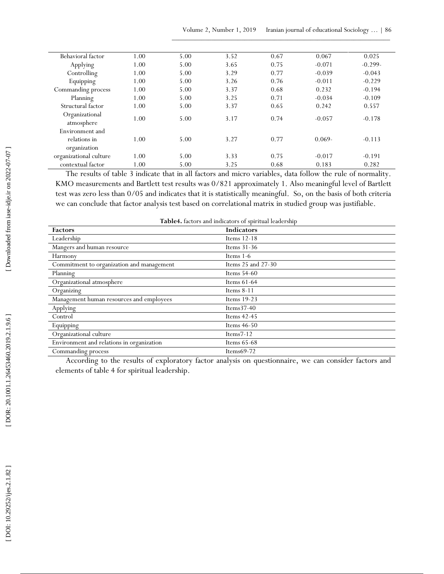| Behavioral factor            | 1.00 | 5.00 | 3.52 | 0.67 | 0.067     | 0.025     |
|------------------------------|------|------|------|------|-----------|-----------|
| Applying                     | 1.00 | 5.00 | 3.65 | 0.75 | $-0.071$  | $-0.299-$ |
| Controlling                  | 1.00 | 5.00 | 3.29 | 0.77 | $-0.039$  | $-0.043$  |
| Equipping                    | 1.00 | 5.00 | 3.26 | 0.76 | $-0.011$  | $-0.229$  |
| Commanding process           | 1.00 | 5.00 | 3.37 | 0.68 | 0.232     | $-0.194$  |
| Planning                     | 1.00 | 5.00 | 3.25 | 0.71 | $-0.034$  | $-0.109$  |
| Structural factor            | 1.00 | 5.00 | 3.37 | 0.65 | 0.242     | 0.557     |
| Organizational<br>atmosphere | 1.00 | 5.00 | 3.17 | 0.74 | $-0.057$  | $-0.178$  |
| Environment and              |      |      |      |      |           |           |
| relations in                 | 1.00 | 5.00 | 3.27 | 0.77 | $0.069 -$ | $-0.113$  |
| organization                 |      |      |      |      |           |           |
| organizational culture       | 1.00 | 5.00 | 3.33 | 0.75 | $-0.017$  | $-0.191$  |
| contextual factor            | 1.00 | 5.00 | 3.25 | 0.68 | 0.183     | 0.282     |

| 3.33<br>3.25<br>Table4. factors and indicators of spiritual leadership<br>Indicators<br>Items 12-18<br>Items 31-36<br>Items 1-6<br>Items 25 and 27-30<br>Items 54-60<br>Items 61-64<br>Items $8-11$<br>Items 19-23<br>Items37-40<br>Items 42-45<br>Items 46-50<br>Items $7-12$<br>Items 65-68<br>Items69-72<br>According to the results of exploratory factor analysis on questionnaire, we can consider factors and | 0.75<br>0.68 | $-0.017$<br>0.183<br>The results of table 3 indicate that in all factors and micro variables, data follow the rule of normality.<br>KMO measurements and Bartlett test results was 0/821 approximately 1. Also meaningful level of Bartlett<br>test was zero less than 0/05 and indicates that it is statistically meaningful. So, on the basis of both criteria<br>we can conclude that factor analysis test based on correlational matrix in studied group was justifiable. | $-0.191$<br>0.282 |
|----------------------------------------------------------------------------------------------------------------------------------------------------------------------------------------------------------------------------------------------------------------------------------------------------------------------------------------------------------------------------------------------------------------------|--------------|-------------------------------------------------------------------------------------------------------------------------------------------------------------------------------------------------------------------------------------------------------------------------------------------------------------------------------------------------------------------------------------------------------------------------------------------------------------------------------|-------------------|
|                                                                                                                                                                                                                                                                                                                                                                                                                      |              |                                                                                                                                                                                                                                                                                                                                                                                                                                                                               |                   |
|                                                                                                                                                                                                                                                                                                                                                                                                                      |              |                                                                                                                                                                                                                                                                                                                                                                                                                                                                               |                   |
|                                                                                                                                                                                                                                                                                                                                                                                                                      |              |                                                                                                                                                                                                                                                                                                                                                                                                                                                                               |                   |
|                                                                                                                                                                                                                                                                                                                                                                                                                      |              |                                                                                                                                                                                                                                                                                                                                                                                                                                                                               |                   |
|                                                                                                                                                                                                                                                                                                                                                                                                                      |              |                                                                                                                                                                                                                                                                                                                                                                                                                                                                               |                   |
|                                                                                                                                                                                                                                                                                                                                                                                                                      |              |                                                                                                                                                                                                                                                                                                                                                                                                                                                                               |                   |
|                                                                                                                                                                                                                                                                                                                                                                                                                      |              |                                                                                                                                                                                                                                                                                                                                                                                                                                                                               |                   |
|                                                                                                                                                                                                                                                                                                                                                                                                                      |              |                                                                                                                                                                                                                                                                                                                                                                                                                                                                               |                   |
|                                                                                                                                                                                                                                                                                                                                                                                                                      |              |                                                                                                                                                                                                                                                                                                                                                                                                                                                                               |                   |
|                                                                                                                                                                                                                                                                                                                                                                                                                      |              |                                                                                                                                                                                                                                                                                                                                                                                                                                                                               |                   |
|                                                                                                                                                                                                                                                                                                                                                                                                                      |              |                                                                                                                                                                                                                                                                                                                                                                                                                                                                               |                   |
|                                                                                                                                                                                                                                                                                                                                                                                                                      |              |                                                                                                                                                                                                                                                                                                                                                                                                                                                                               |                   |
|                                                                                                                                                                                                                                                                                                                                                                                                                      |              |                                                                                                                                                                                                                                                                                                                                                                                                                                                                               |                   |
|                                                                                                                                                                                                                                                                                                                                                                                                                      |              |                                                                                                                                                                                                                                                                                                                                                                                                                                                                               |                   |
|                                                                                                                                                                                                                                                                                                                                                                                                                      |              |                                                                                                                                                                                                                                                                                                                                                                                                                                                                               |                   |
|                                                                                                                                                                                                                                                                                                                                                                                                                      |              |                                                                                                                                                                                                                                                                                                                                                                                                                                                                               |                   |
|                                                                                                                                                                                                                                                                                                                                                                                                                      |              |                                                                                                                                                                                                                                                                                                                                                                                                                                                                               |                   |
|                                                                                                                                                                                                                                                                                                                                                                                                                      |              |                                                                                                                                                                                                                                                                                                                                                                                                                                                                               |                   |
|                                                                                                                                                                                                                                                                                                                                                                                                                      |              |                                                                                                                                                                                                                                                                                                                                                                                                                                                                               |                   |
|                                                                                                                                                                                                                                                                                                                                                                                                                      |              |                                                                                                                                                                                                                                                                                                                                                                                                                                                                               |                   |
|                                                                                                                                                                                                                                                                                                                                                                                                                      |              |                                                                                                                                                                                                                                                                                                                                                                                                                                                                               |                   |
|                                                                                                                                                                                                                                                                                                                                                                                                                      |              |                                                                                                                                                                                                                                                                                                                                                                                                                                                                               |                   |
|                                                                                                                                                                                                                                                                                                                                                                                                                      |              |                                                                                                                                                                                                                                                                                                                                                                                                                                                                               |                   |
|                                                                                                                                                                                                                                                                                                                                                                                                                      |              |                                                                                                                                                                                                                                                                                                                                                                                                                                                                               |                   |
|                                                                                                                                                                                                                                                                                                                                                                                                                      |              |                                                                                                                                                                                                                                                                                                                                                                                                                                                                               |                   |
|                                                                                                                                                                                                                                                                                                                                                                                                                      |              |                                                                                                                                                                                                                                                                                                                                                                                                                                                                               |                   |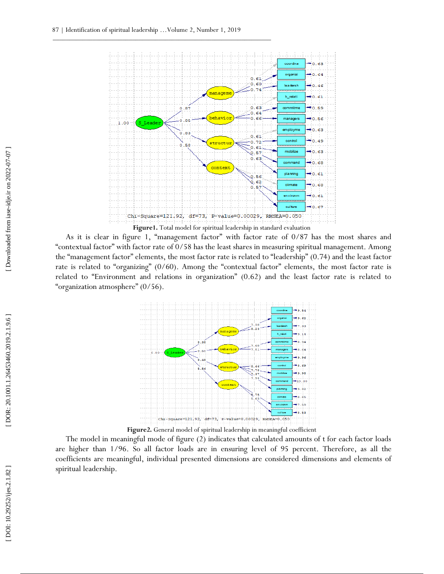

As it is clear in figure 1, "management factor" with factor rate of 0/87 has the most shares and "contextual factor" with factor rate of 0/58 has the least shares in measuring spiritual management. Among the "management factor" elements, the most factor rate is related to "leadership" (0.74) and the least factor rate is related to "organizing" (0/60). Among the "contextual factor" elements, the most factor rate is related to "Environment and relations in organization" (0.62) and the least factor rate is related to "organization atmosphere" (0/56).



**Figure2.** General model of spiritual leadership in meaningful coefficient

The model in meaningful mode of figure (2) indicates that calculated amounts of t for each factor loads are higher than 1/96. So all factor loads are in ensuring level of 95 percent. Therefore, as all the coefficients are meaningful, individual presented dimensions are considered dimensions and elements of spiritual leadership.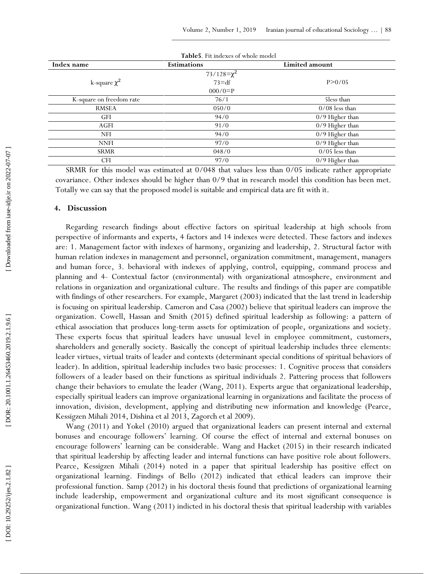| Table5. Fit indexes of whole model |                    |                  |  |  |
|------------------------------------|--------------------|------------------|--|--|
| Index name                         | <b>Estimations</b> | Limited amount   |  |  |
|                                    | $73/128 = \chi^2$  |                  |  |  |
| k-square $\chi^2$                  | $73 = df$          | P > 0/05         |  |  |
|                                    | $000/0=$ P         |                  |  |  |
| K-square on freedom rate           | 76/1               | 5less than       |  |  |
| <b>RMSEA</b>                       | 050/0              | $0/08$ less than |  |  |
| GFI                                | 94/0               | 0/9 Higher than  |  |  |
| <b>AGFI</b>                        | 91/0               | 0/9 Higher than  |  |  |
| <b>NFI</b>                         | 94/0               | 0/9 Higher than  |  |  |
| <b>NNFI</b>                        | 97/0               | 0/9 Higher than  |  |  |
| <b>SRMR</b>                        | 048/0              | $0/05$ less than |  |  |
| <b>CFI</b>                         | 97/0               | 0/9 Higher than  |  |  |

SRMR for this model was estimated at 0/048 that values less than 0/05 indicate rather appropriate covariance. Other indexes should be higher than 0/9 that in research model this condition has been met. Totally we can say that the proposed model is suitable and empirical data are fit with it.

### **4. Discussion**

Regarding research findings about effective factors on spiritual leadership at high schools from perspective of informants and experts, 4 factors and 14 indexes were detected. These factors and indexes are: 1. Management factor with indexes of harmony, organizing and leadership, 2. Structural factor with human relation indexes in management and personnel, organization commitment, management, managers and human force, 3. behavioral with indexes of applying, control, equipping, command process and planning and 4 - Contextual factor (environmental) with organizational atmosphere, environment and relations in organization and organizational culture. The results and findings of this paper are compatible with findings of other researchers. For example, Margaret (2003) indicated that the last trend in leadership is focusing on spiritual leadership. Cameron and Casa (2002) believe that spiritual leaders can improve the organization. Cowell, Hassan and Smith (2015) defined spiritual leadership as following: a pattern of ethical association that produces long -term assets for optimization of people, organizations and society. These experts focus that spiritual leaders have unusual level in employee commitment, customers, shareholders and generally society. Basically the concept of spiritual leadership includes three elements: leader virtues, virtual traits of leader and contexts (determinant special conditions of spiritual behaviors of leader). In addition, spiritual leadership includes two basic processes: 1. Cognitive process that considers followers of a leader based on their functions as spiritual individuals 2. Pattering process that followers change their behaviors to emulate the leader (Wang, 2011). Experts argue that organizational leadership, especially spiritual leaders can improve organizational learning in organizations and facilitate the process of innovation, division, development, applying and distributing new information and knowledge (Pearce, Kessigzen Mihali 2014, Dishina et al 2013, Zagorch et al 2009).

Wang (2011) and Yokel (2010) argued that organizational leaders can present internal and external bonuses and encourage followers' learning. Of course the effect of internal and external bonuses on encourage followers' learning can be considerable. Wang and Hacket (2015) in their research indicated that spiritual leadership by affecting leader and internal functions can have positive role about followers. Pearce, Kessigzen Mihali (2014) noted in a paper that spiritual leadership has positive effect on organizational learning. Findings of Bello (2012) indicated that ethical leaders can improve their professional function. Samp (2012) in his doctoral thesis found that predictions of organizational learning include leadership, empowerment and organizational culture and its most significant consequence is organizational function. Wang (2011) indicted in his doctoral thesis that spiritual leadership with variables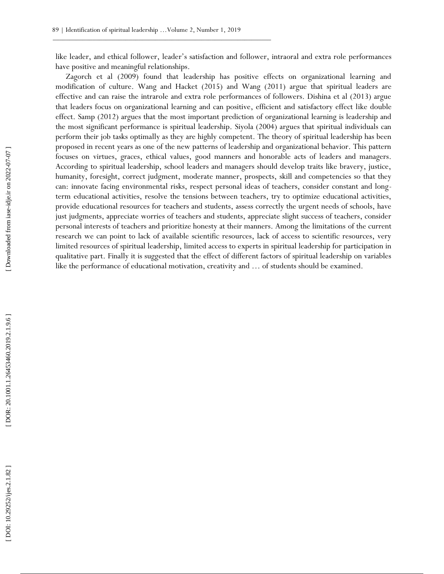like leader, and ethical follower, leader's satisfaction and follower, intraoral and extra role performances have positive and meaningful relationships.

Zagorch et al (2009) found that leadership has positive effects on organizational learning and modification of culture. Wang and Hacket (2015) and Wang (2011) argue that spiritual leaders are effective and can raise the intrarole and extra role performances of followers. Dishina et al (2013) argue that leaders focus on organizational learning and can positive, efficient and satisfactory effect like double effect. Samp (2012) argues that the most important prediction of organizational learning is leadership and the most significant performance is spiritual leadership. Siyola (2004) argues that spiritual individuals can perform their job tasks optimally as they are highly competent. The theory of spiritual leadership has been proposed in recent years as one of the new patterns of leadership and organizational behavior. This pattern focuses on virtues, graces, ethical values, good manners and honorable acts of leaders and managers. According to spiritual leadership, school leaders and managers should develop traits like bravery, justice, humanity, foresight, correct judgment, moderate manner, prospects, skill and competencies so that they can: innovate facing environmental risks, respect personal ideas of teachers, consider constant and long term educational activities, resolve the tensions between teachers, try to optimize educational activities, provide educational resources for teachers and students, assess correctly the urgent needs of schools, have just judgments, appreciate worries of teachers and students, appreciate slight success of teachers, consider personal interests of teachers and prioritize honesty at their manners. Among the limitations of the current research we can point to lack of available scientific resources, lack of access to scientific resources, very limited resources of spiritual leadership, limited access to experts in spiritual leadership for participation in qualitative part. Finally it is suggested that the effect of different factors of spiritual leadership on variables like the performance of educational motivation, creativity and … of students should be examined.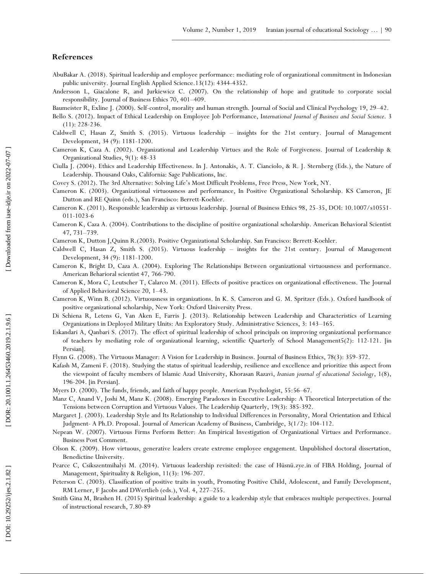## **References**

- AbuBakar A. (2018). Spiritual leadership and employee performance: mediating role of organizational commitment in Indonesian public university. Journal English Applied Science.13(12): 4344 -4352.
- Andersson L, Giacalone R , and Jurkiewicz C. (2007). On the relationship of hope and gratitude to corporate social responsibility. Journal of Business Ethics 70, 401 –409.
- Baumeister R , Exline J. (2000). Self -control, morality and human strength. Journal of Social and Clinical Psychology 19, 29 –42.
- Bello S. (2012). Impact of Ethical Leadership on Employee Job Performance, I*nternational Journal of Business and Social Science*. 3 (11): 228 -236.
- Caldwell C, Hasan Z, Smith S. (2015). Virtuous leadership insights for the 21st century. Journal of Management Development, 34 (9): 1181 -1200.
- Cameron K, Caza A. (2002). Organizational and Leadership Virtues and the Role of Forgiveness. Journal of Leadership & Organizational Studies, 9(1): 48 -33

Ciulla J. (2004). Ethics and Leadership Effectiveness. In J. Antonakis, A. T. Cianciolo, & R. J. Sternberg (Eds.), the Nature of Leadership. Thousand Oaks, California: Sage Publications, Inc.

Covey S. (2012). The 3rd Alternative: Solving Life's Most Difficult Problems, Free Press, New York, NY.

- Cameron K. (2003). Organizational virtuousness and performance, In Positive Organizational Scholarship. KS Cameron, JE Dutton and RE Quinn (eds.), San Francisco: Berrett -Koehler.
- Cameron K. (2011). Responsible leadership as virtuous leadership. Journal of Business Ethics 98, 25 -35, DOI: 10.1007/s10551 011 -1023 - 6
- Cameron K , Caza A. (2004). Contributions to the discipline of positive organizational scholarship. American Behavioral Scientist 47, 731 –739.
- Cameron K, Dutton J, Quinn R. (2003). Positive Organizational Scholarship. San Francisco: Berrett-Koehler.
- Caldwell C, Hasan Z, Smith S. (2015). Virtuous leadership insights for the 21st century. Journal of Management Development, 34 (9): 1181 -1200.
- Cameron K , Bright D, Caza A. (2004). Exploring The Relationships Between organizational virtuousness and performance. American Beharioral scientist 47, 766 -790.
- Cameron K, Mora C, Leutscher T, Calarco M. (2011). Effects of positive practices on organizational effectiveness. The Journal of Applied Behavioral Science 20, 1 –43.
- Cameron K , Winn B. (2012). Virtuousness in organizations. In K. S. Cameron and G. M. Spritzer (Eds.). Oxford handbook of positive organizational scholarship, New York: Oxford University Press.
- Di Schiena R, Letens G, Van Aken E, Farris J. (2013). Relationship between Leadership and Characteristics of Learning Organizations in Deployed Military Units: An Exploratory Study. Administrative Sciences, 3: 143 –165.
- Eskandari A , Qanbari S. (2017). The effect of spiritual leadership of school principals on improving organizational performance of teachers by mediating role of organizational learning, scientific Quarterly of School Management5(2): 112 -121. [in Persian].
- Flynn G. (2008). The Virtuous Manager: A Vision for Leadership in Business. Journal of Business Ethics, 78(3): 359 -372.
- Kafash M, Zameni F. (2018). Studying the status of spiritual leadership, resilience and excellence and prioritize this aspect from the viewpoint of faculty members of Islamic Azad University, Khorasan Razavi, *Iranian journal of educational Sociology* , 1(8), 196 -204. [in Persian].
- Myers D. (2000). The funds, friends, and faith of happy people. American Psychologist, 55:56 –67.
- Manz C, Anand V, Joshi M, Manz K. (2008). Emerging Paradoxes in Executive Leadership: A Theoretical Interpretation of the Tensions between Corruption and Virtuous Values. The Leadership Quarterly, 19(3): 385 -392.
- Margaret J. (2003). Leadership Style and Its Relationship to Individual Differences in Personality, Moral Orientation and Ethical Judgment - A Ph.D. Proposal. Journal of American Academy of Business, Cambridge, 3(1/2): 104 -112.
- Nepean W. (2007). Virtuous Firms Perform Better: An Empirical Investigation of Organizational Virtues and Performance. Business Post Comment.
- Olson K. (2009). How virtuous, generative leaders create extreme employee engagement. Unpublished doctoral dissertation, Benedictine University.
- Pearce C , Csikszentmihalyi M. (2014). Virtuous leadership revisited: the case of Hüsnü.zye.in of FIBA Holding, Journal of Management, Spirituality & Religion, 11(3): 196 -207.
- Peterson C. (2003). Classification of positive traits in youth, Promoting Positive Child, Adolescent, and Family Development, RM Lerner, F Jacobs and DWertlieb (eds.), Vol. 4, 227 –255.
- Smith Gina M , Brashen H. (2015) Spiritual leadership: a guide to a leadership style that embraces multiple perspectives. Journal of instructional research, 7.80 -89